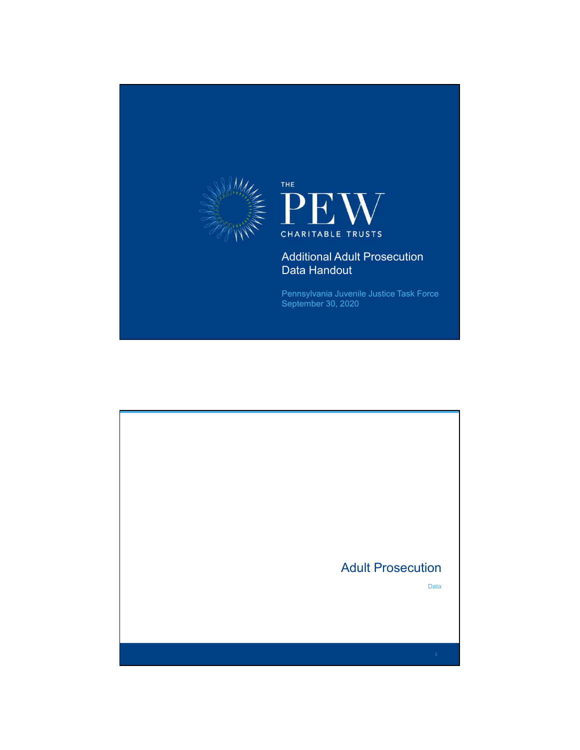

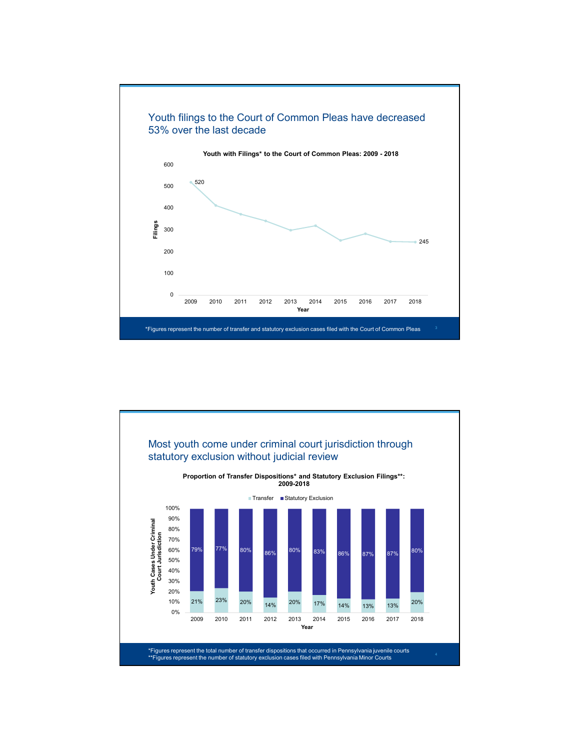

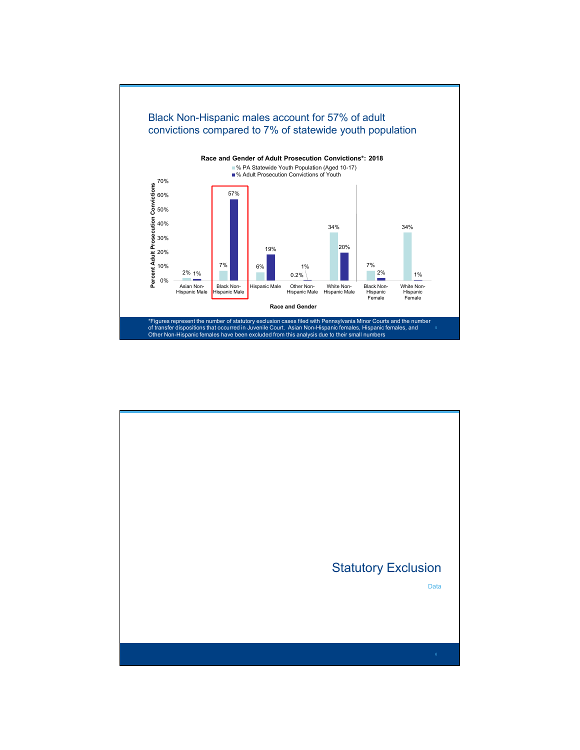

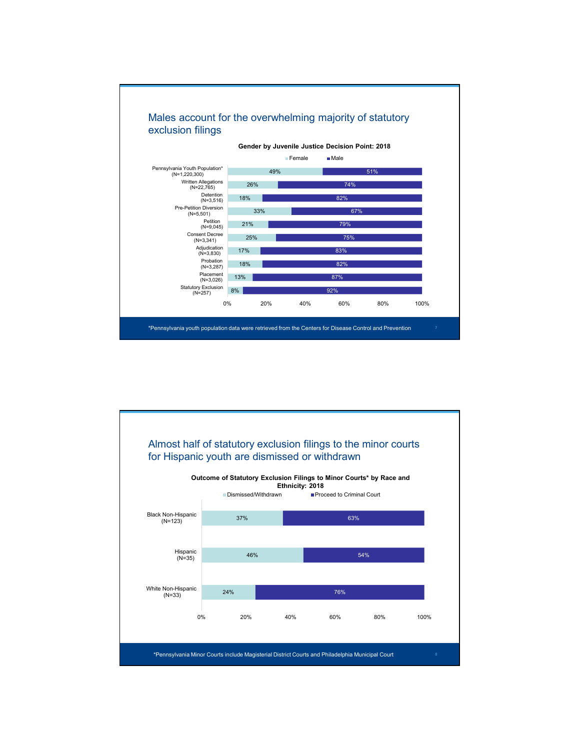

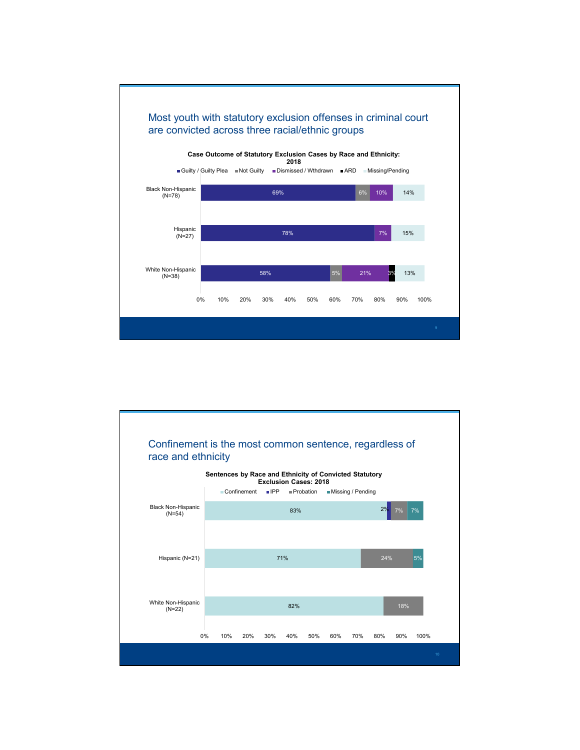

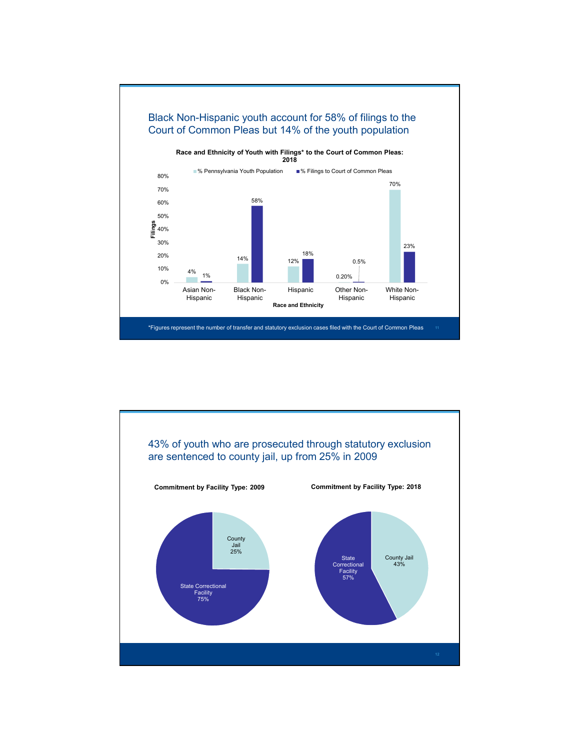

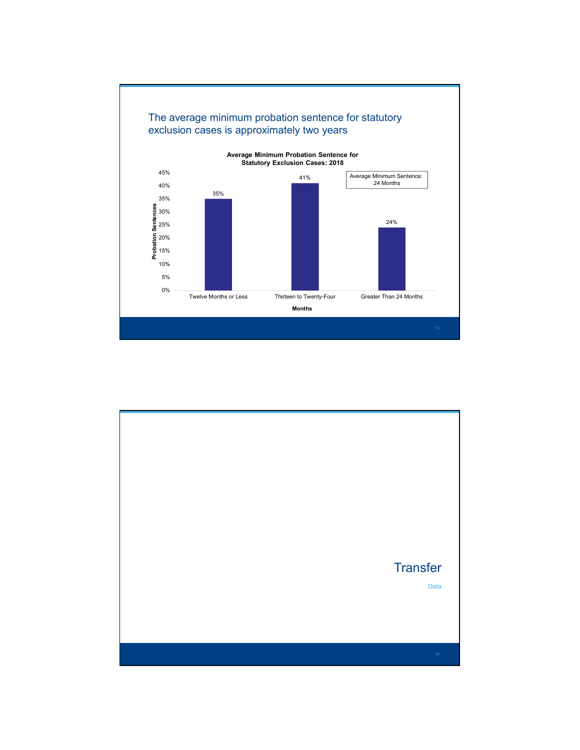

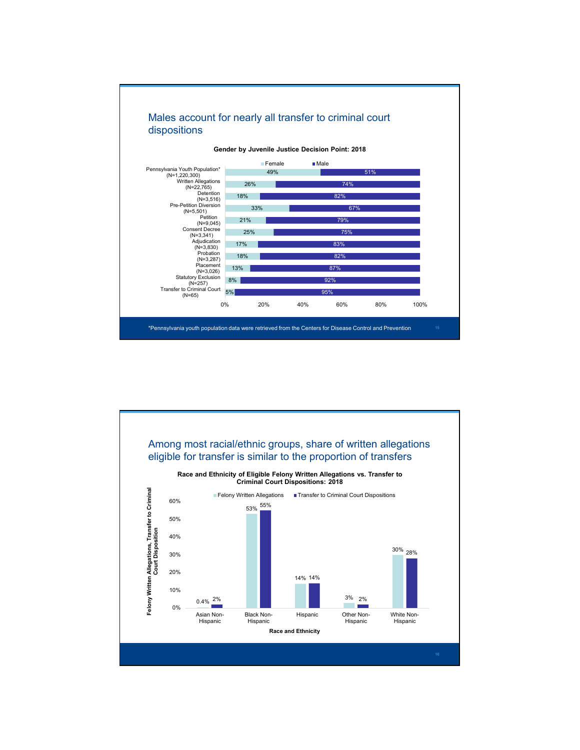

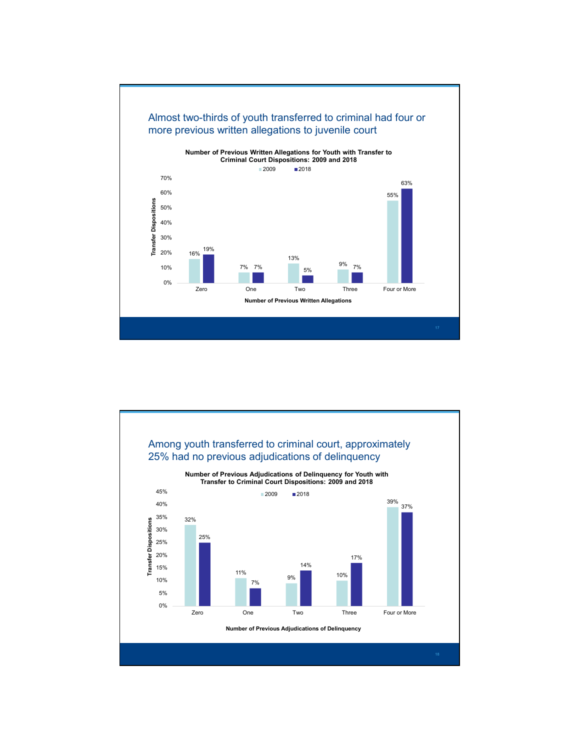

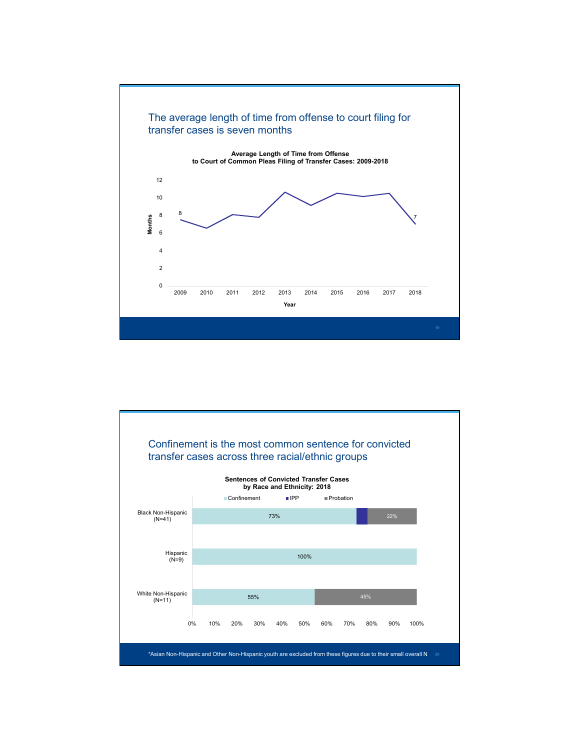

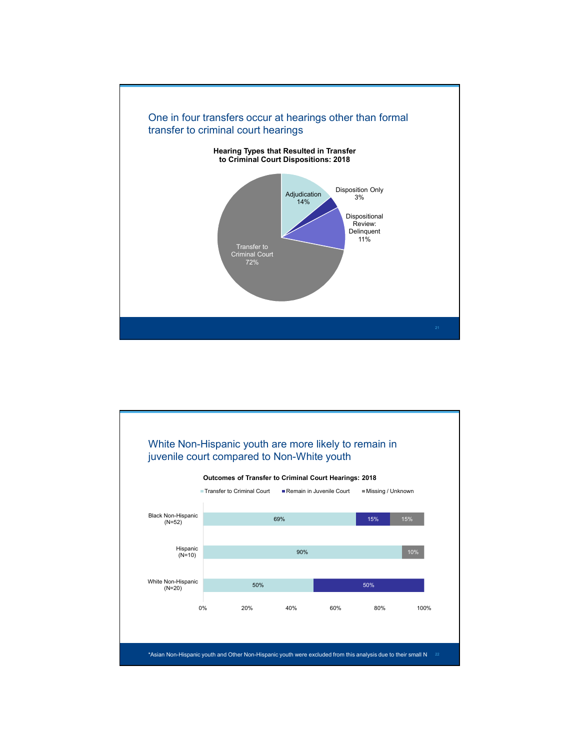

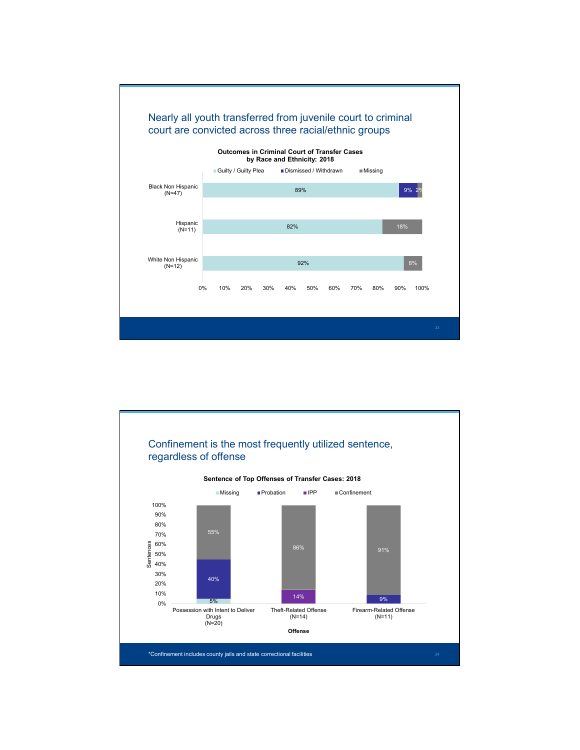